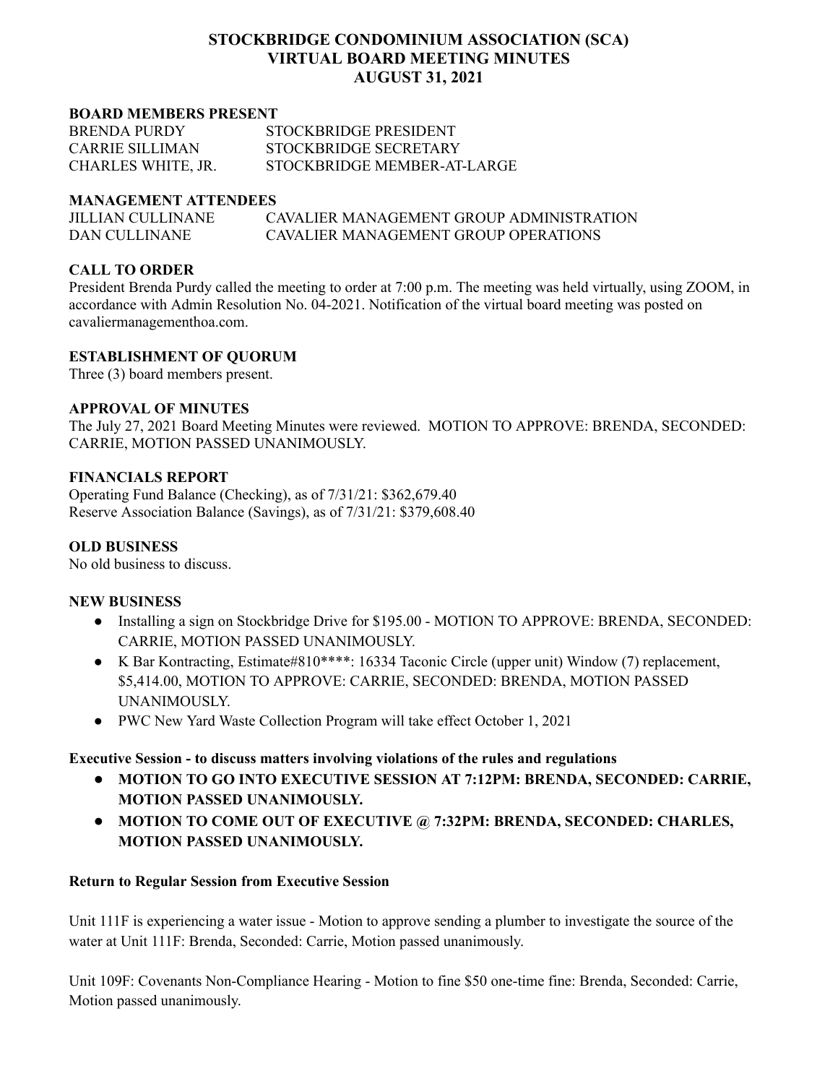# **STOCKBRIDGE CONDOMINIUM ASSOCIATION (SCA) VIRTUAL BOARD MEETING MINUTES AUGUST 31, 2021**

#### **BOARD MEMBERS PRESENT**

| <b>BRENDA PURDY</b>    | STOCKBRIDGE PRESIDENT       |
|------------------------|-----------------------------|
| <b>CARRIE SILLIMAN</b> | STOCKBRIDGE SECRETARY       |
| CHARLES WHITE, JR.     | STOCKBRIDGE MEMBER-AT-LARGE |

#### **MANAGEMENT ATTENDEES**

| <b>JILLIAN CULLINANE</b> | CAVALIER MANAGEMENT GROUP ADMINISTRATION |
|--------------------------|------------------------------------------|
| DAN CULLINANE            | CAVALIER MANAGEMENT GROUP OPER ATIONS    |

### **CALL TO ORDER**

President Brenda Purdy called the meeting to order at 7:00 p.m. The meeting was held virtually, using ZOOM, in accordance with Admin Resolution No. 04-2021. Notification of the virtual board meeting was posted on cavaliermanagementhoa.com.

### **ESTABLISHMENT OF QUORUM**

Three (3) board members present.

#### **APPROVAL OF MINUTES**

The July 27, 2021 Board Meeting Minutes were reviewed. MOTION TO APPROVE: BRENDA, SECONDED: CARRIE, MOTION PASSED UNANIMOUSLY.

### **FINANCIALS REPORT**

Operating Fund Balance (Checking), as of 7/31/21: \$362,679.40 Reserve Association Balance (Savings), as of 7/31/21: \$379,608.40

### **OLD BUSINESS**

No old business to discuss.

### **NEW BUSINESS**

- Installing a sign on Stockbridge Drive for \$195.00 MOTION TO APPROVE: BRENDA, SECONDED: CARRIE, MOTION PASSED UNANIMOUSLY.
- K Bar Kontracting, Estimate#810\*\*\*\*: 16334 Taconic Circle (upper unit) Window (7) replacement, \$5,414.00, MOTION TO APPROVE: CARRIE, SECONDED: BRENDA, MOTION PASSED UNANIMOUSLY.
- PWC New Yard Waste Collection Program will take effect October 1, 2021

### **Executive Session - to discuss matters involving violations of the rules and regulations**

- **● MOTION TO GO INTO EXECUTIVE SESSION AT 7:12PM: BRENDA, SECONDED: CARRIE, MOTION PASSED UNANIMOUSLY.**
- **● MOTION TO COME OUT OF EXECUTIVE @ 7:32PM: BRENDA, SECONDED: CHARLES, MOTION PASSED UNANIMOUSLY.**

### **Return to Regular Session from Executive Session**

Unit 111F is experiencing a water issue - Motion to approve sending a plumber to investigate the source of the water at Unit 111F: Brenda, Seconded: Carrie, Motion passed unanimously.

Unit 109F: Covenants Non-Compliance Hearing - Motion to fine \$50 one-time fine: Brenda, Seconded: Carrie, Motion passed unanimously.